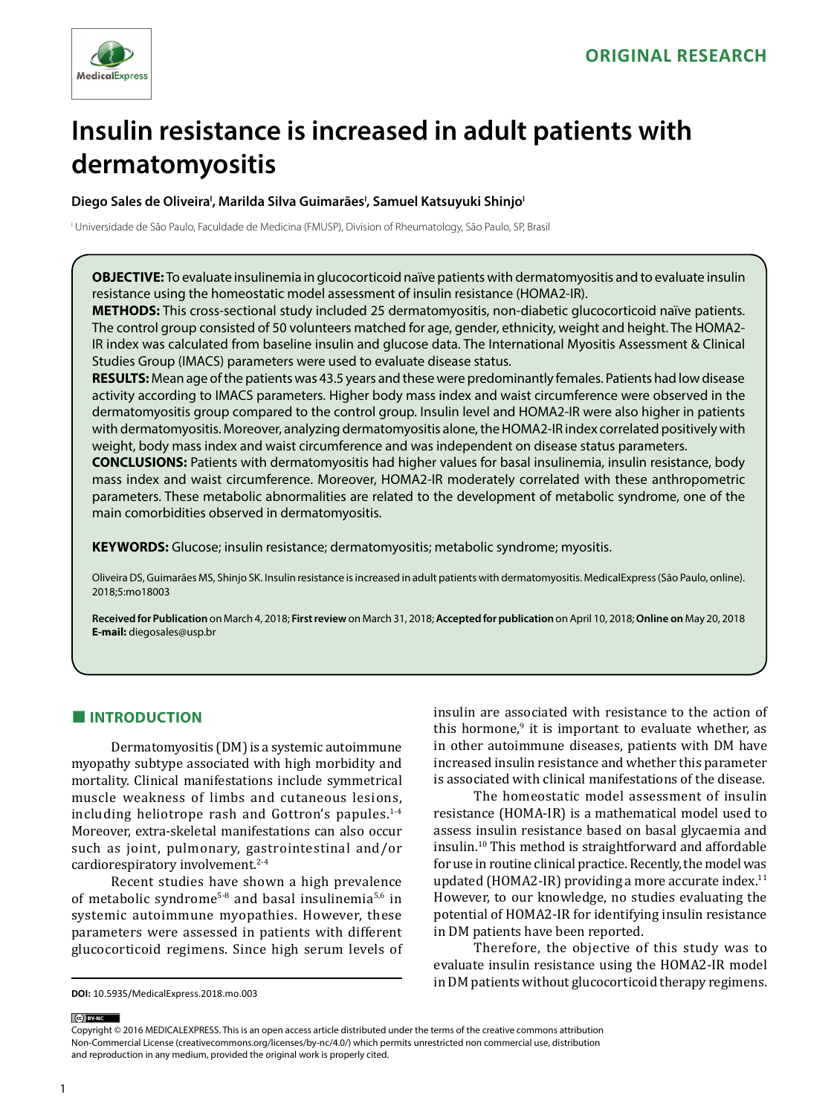

# **Insulin resistance is increased in adult patients with dermatomyositis**

Diego Sales de Oliveira<sup>ı</sup>, Marilda Silva Guimarães<sup>ı</sup>, Samuel Katsuyuki Shinjo<sup>ı</sup>

I Universidade de São Paulo, Faculdade de Medicina (FMUSP), Division of Rheumatology, São Paulo, SP, Brasil

**OBJECTIVE:** To evaluate insulinemia in glucocorticoid naïve patients with dermatomyositis and to evaluate insulin resistance using the homeostatic model assessment of insulin resistance (HOMA2-IR).

**METHODS:** This cross-sectional study included 25 dermatomyositis, non-diabetic glucocorticoid naïve patients. The control group consisted of 50 volunteers matched for age, gender, ethnicity, weight and height. The HOMA2- IR index was calculated from baseline insulin and glucose data. The International Myositis Assessment & Clinical Studies Group (IMACS) parameters were used to evaluate disease status.

**RESULTS:** Mean age of the patients was 43.5 years and these were predominantly females. Patients had low disease activity according to IMACS parameters. Higher body mass index and waist circumference were observed in the dermatomyositis group compared to the control group. Insulin level and HOMA2-IR were also higher in patients with dermatomyositis. Moreover, analyzing dermatomyositis alone, the HOMA2-IR index correlated positively with weight, body mass index and waist circumference and was independent on disease status parameters.

**CONCLUSIONS:** Patients with dermatomyositis had higher values for basal insulinemia, insulin resistance, body mass index and waist circumference. Moreover, HOMA2-IR moderately correlated with these anthropometric parameters. These metabolic abnormalities are related to the development of metabolic syndrome, one of the main comorbidities observed in dermatomyositis.

**KEYWORDS:** Glucose; insulin resistance; dermatomyositis; metabolic syndrome; myositis.

Oliveira DS, Guimarães MS, Shinjo SK. Insulin resistance is increased in adult patients with dermatomyositis. MedicalExpress (São Paulo, online). 2018;5:mo18003

**Received for Publication** on March 4, 2018; **First review** on March 31, 2018; **Accepted for publication** on April 10, 2018; **Online on** May 20, 2018 **E-mail:** diegosales@usp.br

# **■ INTRODUCTION**

Dermatomyositis (DM) is a systemic autoimmune myopathy subtype associated with high morbidity and mortality. Clinical manifestations include symmetrical muscle weakness of limbs and cutaneous lesions, including heliotrope rash and Gottron's papules.<sup>1-4</sup> Moreover, extra-skeletal manifestations can also occur such as joint, pulmonary, gastrointestinal and/or cardiorespiratory involvement.<sup>2-4</sup>

Recent studies have shown a high prevalence of metabolic syndrome5-8 and basal insulinemia5,6 in systemic autoimmune myopathies. However, these parameters were assessed in patients with different glucocorticoid regimens. Since high serum levels of insulin are associated with resistance to the action of this hormone,<sup>9</sup> it is important to evaluate whether, as in other autoimmune diseases, patients with DM have increased insulin resistance and whether this parameter is associated with clinical manifestations of the disease.

The homeostatic model assessment of insulin resistance (HOMA-IR) is a mathematical model used to assess insulin resistance based on basal glycaemia and insulin.10 This method is straightforward and affordable for use in routine clinical practice. Recently, the model was updated (HOMA2-IR) providing a more accurate index.<sup>11</sup> However, to our knowledge, no studies evaluating the potential of HOMA2-IR for identifying insulin resistance in DM patients have been reported.

Therefore, the objective of this study was to evaluate insulin resistance using the HOMA2-IR model in DM patients without glucocorticoid therapy regimens.

#### (ce) BY-NC

Copyright © 2016 MEDICALEXPRESS. This is an open access article distributed under the terms of the creative commons attribution Non-Commercial License [\(creativecommons.org/licenses/by-nc/4.0/\)](http://creativecommons.org/licenses/by-nc/3.0/) which permits unrestricted non commercial use, distribution and reproduction in any medium, provided the original work is properly cited.

**DOI:** 10.5935/MedicalExpress.2018.mo.003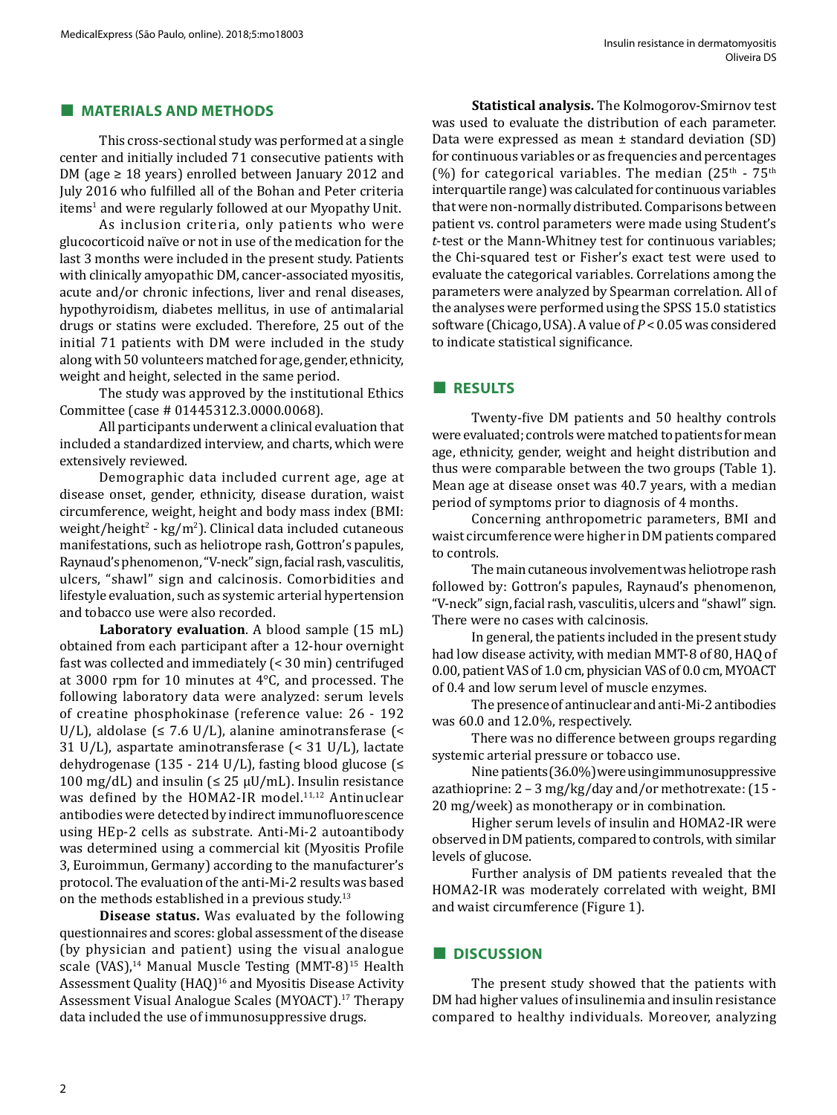#### **■ MATERIALS AND METHODS**

This cross-sectional study was performed at a single center and initially included 71 consecutive patients with DM (age  $\geq$  18 years) enrolled between January 2012 and July 2016 who fulfilled all of the Bohan and Peter criteria items<sup>1</sup> and were regularly followed at our Myopathy Unit.

As inclusion criteria, only patients who were glucocorticoid naïve or not in use of the medication for the last 3 months were included in the present study. Patients with clinically amyopathic DM, cancer-associated myositis, acute and/or chronic infections, liver and renal diseases, hypothyroidism, diabetes mellitus, in use of antimalarial drugs or statins were excluded. Therefore, 25 out of the initial 71 patients with DM were included in the study along with 50 volunteers matched for age, gender, ethnicity, weight and height, selected in the same period.

The study was approved by the institutional Ethics Committee (case # 01445312.3.0000.0068).

All participants underwent a clinical evaluation that included a standardized interview, and charts, which were extensively reviewed.

Demographic data included current age, age at disease onset, gender, ethnicity, disease duration, waist circumference, weight, height and body mass index (BMI: weight/height<sup>2</sup> - kg/m<sup>2</sup>). Clinical data included cutaneous manifestations, such as heliotrope rash, Gottron's papules, Raynaud's phenomenon, "V-neck" sign, facial rash, vasculitis, ulcers, "shawl" sign and calcinosis. Comorbidities and lifestyle evaluation, such as systemic arterial hypertension and tobacco use were also recorded.

**Laboratory evaluation**. A blood sample (15 mL) obtained from each participant after a 12-hour overnight fast was collected and immediately (< 30 min) centrifuged at 3000 rpm for 10 minutes at 4°C, and processed. The following laboratory data were analyzed: serum levels of creatine phosphokinase (reference value: 26 - 192 U/L), aldolase ( $\leq 7.6$  U/L), alanine aminotransferase ( $\leq$ 31 U/L), aspartate aminotransferase (< 31 U/L), lactate dehydrogenase (135 - 214 U/L), fasting blood glucose ( $\leq$ 100 mg/dL) and insulin ( $\leq$  25  $\mu$ U/mL). Insulin resistance was defined by the HOMA2-IR model.<sup>11,12</sup> Antinuclear antibodies were detected by indirect immunofluorescence using HEp-2 cells as substrate. Anti-Mi-2 autoantibody was determined using a commercial kit (Myositis Profile 3, Euroimmun, Germany) according to the manufacturer's protocol. The evaluation of the anti-Mi-2 results was based on the methods established in a previous study.13

**Disease status.** Was evaluated by the following questionnaires and scores: global assessment of the disease (by physician and patient) using the visual analogue scale (VAS),<sup>14</sup> Manual Muscle Testing (MMT-8)<sup>15</sup> Health Assessment Quality (HAQ)<sup>16</sup> and Myositis Disease Activity Assessment Visual Analogue Scales (MYOACT).17 Therapy data included the use of immunosuppressive drugs.

**Statistical analysis.** The Kolmogorov-Smirnov test was used to evaluate the distribution of each parameter. Data were expressed as mean ± standard deviation (SD) for continuous variables or as frequencies and percentages (%) for categorical variables. The median  $(25<sup>th</sup> - 75<sup>th</sup>)$ interquartile range) was calculated for continuous variables that were non-normally distributed. Comparisons between patient vs. control parameters were made using Student's *t*-test or the Mann-Whitney test for continuous variables; the Chi-squared test or Fisher's exact test were used to evaluate the categorical variables. Correlations among the parameters were analyzed by Spearman correlation. All of the analyses were performed using the SPSS 15.0 statistics software (Chicago, USA). A value of *P* < 0.05 was considered to indicate statistical significance.

## **■ RESULTS**

Twenty-five DM patients and 50 healthy controls were evaluated; controls were matched to patients for mean age, ethnicity, gender, weight and height distribution and thus were comparable between the two groups (Table 1). Mean age at disease onset was 40.7 years, with a median period of symptoms prior to diagnosis of 4 months.

Concerning anthropometric parameters, BMI and waist circumference were higher in DM patients compared to controls.

The main cutaneous involvement was heliotrope rash followed by: Gottron's papules, Raynaud's phenomenon, "V-neck" sign, facial rash, vasculitis, ulcers and "shawl" sign. There were no cases with calcinosis.

In general, the patients included in the present study had low disease activity, with median MMT-8 of 80, HAQ of 0.00, patient VAS of 1.0 cm, physician VAS of 0.0 cm, MYOACT of 0.4 and low serum level of muscle enzymes.

The presence of antinuclear and anti-Mi-2 antibodies was 60.0 and 12.0%, respectively.

There was no difference between groups regarding systemic arterial pressure or tobacco use.

Nine patients (36.0%) were using immunosuppressive azathioprine: 2 – 3 mg/kg/day and/or methotrexate: (15 - 20 mg/week) as monotherapy or in combination.

Higher serum levels of insulin and HOMA2-IR were observed in DM patients, compared to controls, with similar levels of glucose.

Further analysis of DM patients revealed that the HOMA2-IR was moderately correlated with weight, BMI and waist circumference (Figure 1).

## **■ DISCUSSION**

The present study showed that the patients with DM had higher values of insulinemia and insulin resistance compared to healthy individuals. Moreover, analyzing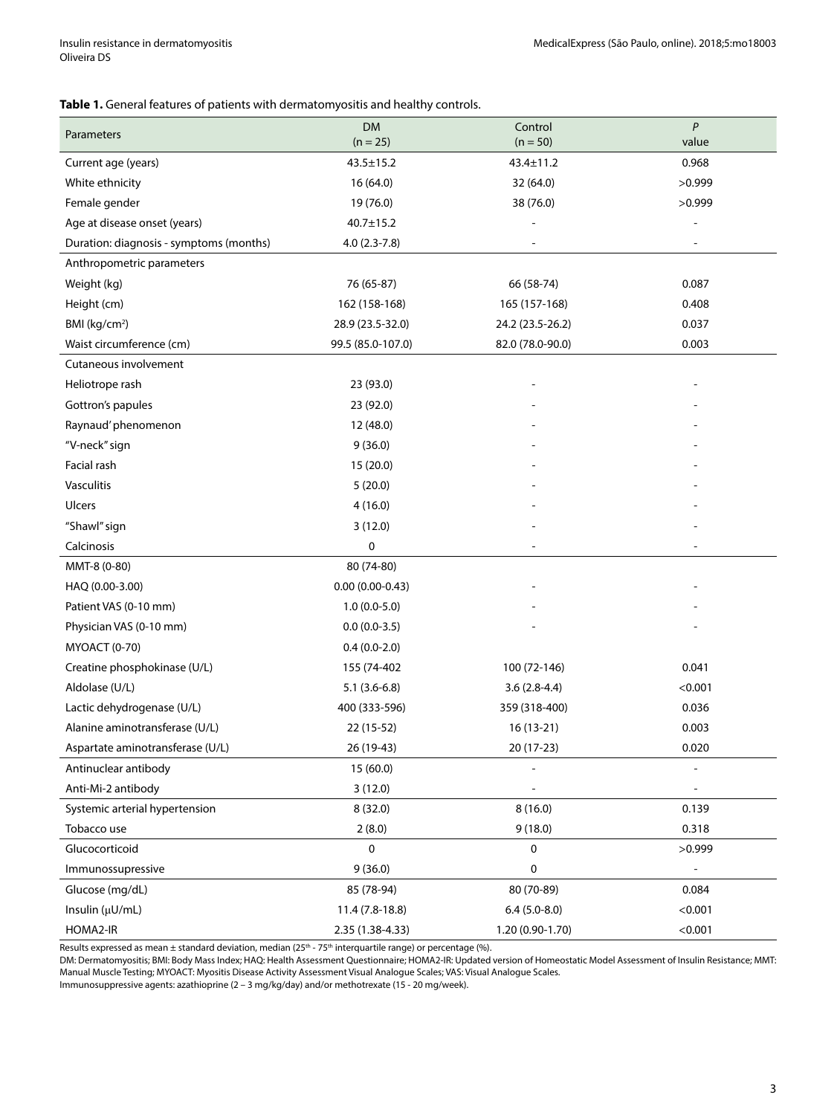#### **Table 1.** General features of patients with dermatomyositis and healthy controls.

| Parameters                              | <b>DM</b><br>$(n = 25)$ | Control<br>$(n = 50)$ | P<br>value               |
|-----------------------------------------|-------------------------|-----------------------|--------------------------|
| Current age (years)                     | $43.5 \pm 15.2$         | 43.4±11.2             | 0.968                    |
| White ethnicity                         | 16 (64.0)               | 32 (64.0)             | >0.999                   |
| Female gender                           | 19 (76.0)               | 38 (76.0)             | >0.999                   |
| Age at disease onset (years)            | $40.7 \pm 15.2$         |                       |                          |
| Duration: diagnosis - symptoms (months) | $4.0(2.3-7.8)$          |                       |                          |
| Anthropometric parameters               |                         |                       |                          |
| Weight (kg)                             | 76 (65-87)              | 66 (58-74)            | 0.087                    |
| Height (cm)                             | 162 (158-168)           | 165 (157-168)         | 0.408                    |
| BMI (kg/cm <sup>2</sup> )               | 28.9 (23.5-32.0)        | 24.2 (23.5-26.2)      | 0.037                    |
| Waist circumference (cm)                | 99.5 (85.0-107.0)       | 82.0 (78.0-90.0)      | 0.003                    |
| Cutaneous involvement                   |                         |                       |                          |
| Heliotrope rash                         | 23 (93.0)               |                       |                          |
| Gottron's papules                       | 23 (92.0)               |                       |                          |
| Raynaud' phenomenon                     | 12 (48.0)               |                       |                          |
| "V-neck" sign                           | 9(36.0)                 |                       |                          |
| Facial rash                             | 15 (20.0)               |                       |                          |
| Vasculitis                              | 5(20.0)                 |                       |                          |
| Ulcers                                  | 4(16.0)                 |                       |                          |
| "Shawl" sign                            | 3(12.0)                 |                       |                          |
| Calcinosis                              | 0                       |                       |                          |
| MMT-8 (0-80)                            | 80 (74-80)              |                       |                          |
| HAQ (0.00-3.00)                         | $0.00(0.00-0.43)$       |                       |                          |
| Patient VAS (0-10 mm)                   | $1.0(0.0-5.0)$          |                       |                          |
| Physician VAS (0-10 mm)                 | $0.0(0.0-3.5)$          |                       |                          |
| <b>MYOACT (0-70)</b>                    | $0.4(0.0-2.0)$          |                       |                          |
| Creatine phosphokinase (U/L)            | 155 (74-402             | 100 (72-146)          | 0.041                    |
| Aldolase (U/L)                          | $5.1(3.6-6.8)$          | $3.6(2.8-4.4)$        | < 0.001                  |
| Lactic dehydrogenase (U/L)              | 400 (333-596)           | 359 (318-400)         | 0.036                    |
| Alanine aminotransferase (U/L)          | 22 (15-52)              | 16 (13-21)            | 0.003                    |
| Aspartate aminotransferase (U/L)        | 26 (19-43)              | 20 (17-23)            | 0.020                    |
| Antinuclear antibody                    | 15 (60.0)               |                       |                          |
| Anti-Mi-2 antibody                      | 3(12.0)                 |                       |                          |
| Systemic arterial hypertension          | 8(32.0)                 | 8(16.0)               | 0.139                    |
| Tobacco use                             | 2(8.0)                  | 9(18.0)               | 0.318                    |
| Glucocorticoid                          | 0                       | 0                     | >0.999                   |
| Immunossupressive                       | 9(36.0)                 | $\pmb{0}$             | $\overline{\phantom{a}}$ |
| Glucose (mg/dL)                         | 85 (78-94)              | 80 (70-89)            | 0.084                    |
| Insulin (µU/mL)                         | 11.4 (7.8-18.8)         | $6.4(5.0-8.0)$        | < 0.001                  |
| HOMA2-IR                                | 2.35 (1.38-4.33)        | 1.20 (0.90-1.70)      | < 0.001                  |

Results expressed as mean ± standard deviation, median (25<sup>th</sup> - 75<sup>th</sup> interquartile range) or percentage (%).

DM: Dermatomyositis; BMI: Body Mass Index; HAQ: Health Assessment Questionnaire; HOMA2-IR: Updated version of Homeostatic Model Assessment of Insulin Resistance; MMT: Manual Muscle Testing; MYOACT: Myositis Disease Activity Assessment Visual Analogue Scales; VAS: Visual Analogue Scales.

Immunosuppressive agents: azathioprine (2 – 3 mg/kg/day) and/or methotrexate (15 - 20 mg/week).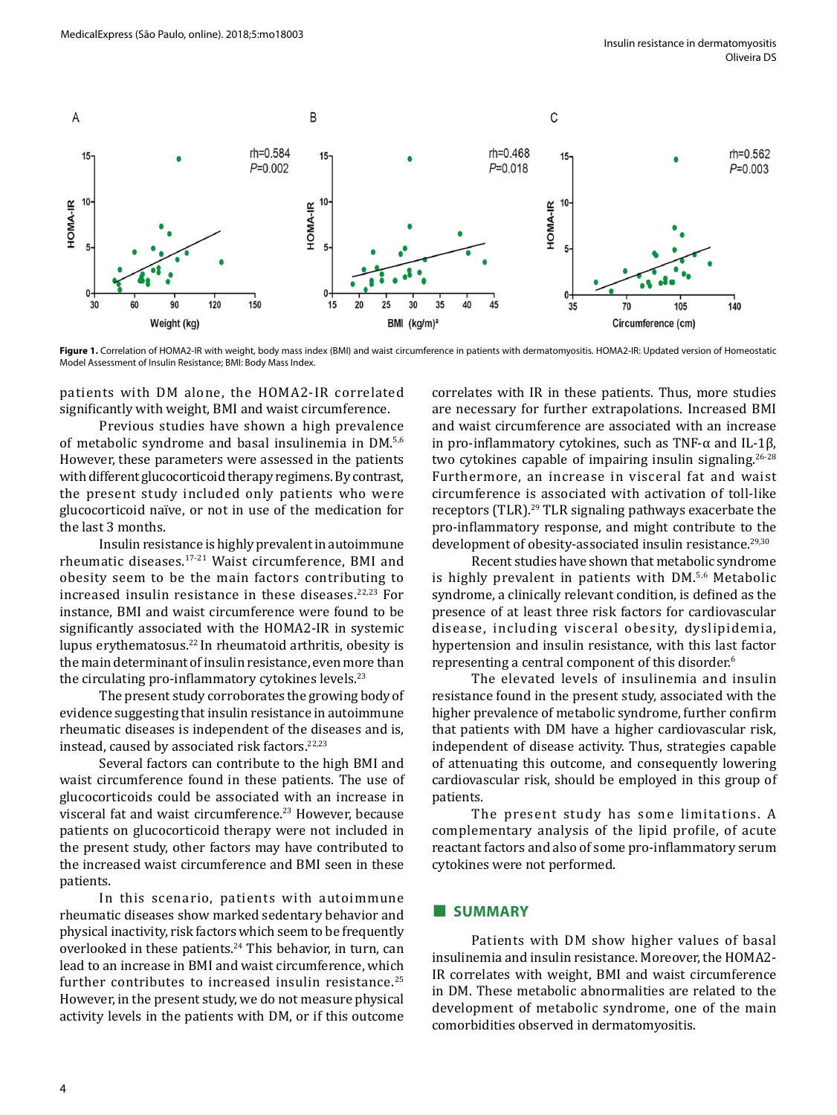

Figure 1. Correlation of HOMA2-IR with weight, body mass index (BMI) and waist circumference in patients with dermatomyositis. HOMA2-IR: Updated version of Homeostatic Model Assessment of Insulin Resistance; BMI: Body Mass Index.

patients with DM alone, the HOMA2-IR correlated significantly with weight, BMI and waist circumference.

Previous studies have shown a high prevalence of metabolic syndrome and basal insulinemia in DM.5,6 However, these parameters were assessed in the patients with different glucocorticoid therapy regimens. By contrast, the present study included only patients who were glucocorticoid naïve, or not in use of the medication for the last 3 months.

Insulin resistance is highly prevalent in autoimmune rheumatic diseases.17-21 Waist circumference, BMI and obesity seem to be the main factors contributing to increased insulin resistance in these diseases. $22,23$  For instance, BMI and waist circumference were found to be significantly associated with the HOMA2-IR in systemic lupus erythematosus.22 In rheumatoid arthritis, obesity is the main determinant of insulin resistance, even more than the circulating pro-inflammatory cytokines levels.<sup>23</sup>

The present study corroborates the growing body of evidence suggesting that insulin resistance in autoimmune rheumatic diseases is independent of the diseases and is, instead, caused by associated risk factors.<sup>22,23</sup>

Several factors can contribute to the high BMI and waist circumference found in these patients. The use of glucocorticoids could be associated with an increase in visceral fat and waist circumference.23 However, because patients on glucocorticoid therapy were not included in the present study, other factors may have contributed to the increased waist circumference and BMI seen in these patients.

In this scenario, patients with autoimmune rheumatic diseases show marked sedentary behavior and physical inactivity, risk factors which seem to be frequently overlooked in these patients.<sup>24</sup> This behavior, in turn, can lead to an increase in BMI and waist circumference, which further contributes to increased insulin resistance.<sup>25</sup> However, in the present study, we do not measure physical activity levels in the patients with DM, or if this outcome

correlates with IR in these patients. Thus, more studies are necessary for further extrapolations. Increased BMI and waist circumference are associated with an increase in pro-inflammatory cytokines, such as TNF-α and IL-1β, two cytokines capable of impairing insulin signaling.<sup>26-28</sup> Furthermore, an increase in visceral fat and waist circumference is associated with activation of toll-like receptors (TLR).29 TLR signaling pathways exacerbate the pro-inflammatory response, and might contribute to the development of obesity-associated insulin resistance.<sup>29,30</sup>

Recent studies have shown that metabolic syndrome is highly prevalent in patients with DM.5,6 Metabolic syndrome, a clinically relevant condition, is defined as the presence of at least three risk factors for cardiovascular disease, including visceral obesity, dyslipidemia, hypertension and insulin resistance, with this last factor representing a central component of this disorder.<sup>6</sup>

The elevated levels of insulinemia and insulin resistance found in the present study, associated with the higher prevalence of metabolic syndrome, further confirm that patients with DM have a higher cardiovascular risk, independent of disease activity. Thus, strategies capable of attenuating this outcome, and consequently lowering cardiovascular risk, should be employed in this group of patients.

The present study has some limitations. A complementary analysis of the lipid profile, of acute reactant factors and also of some pro-inflammatory serum cytokines were not performed.

# **■ SUMMARY**

Patients with DM show higher values of basal insulinemia and insulin resistance. Moreover, the HOMA2- IR correlates with weight, BMI and waist circumference in DM. These metabolic abnormalities are related to the development of metabolic syndrome, one of the main comorbidities observed in dermatomyositis.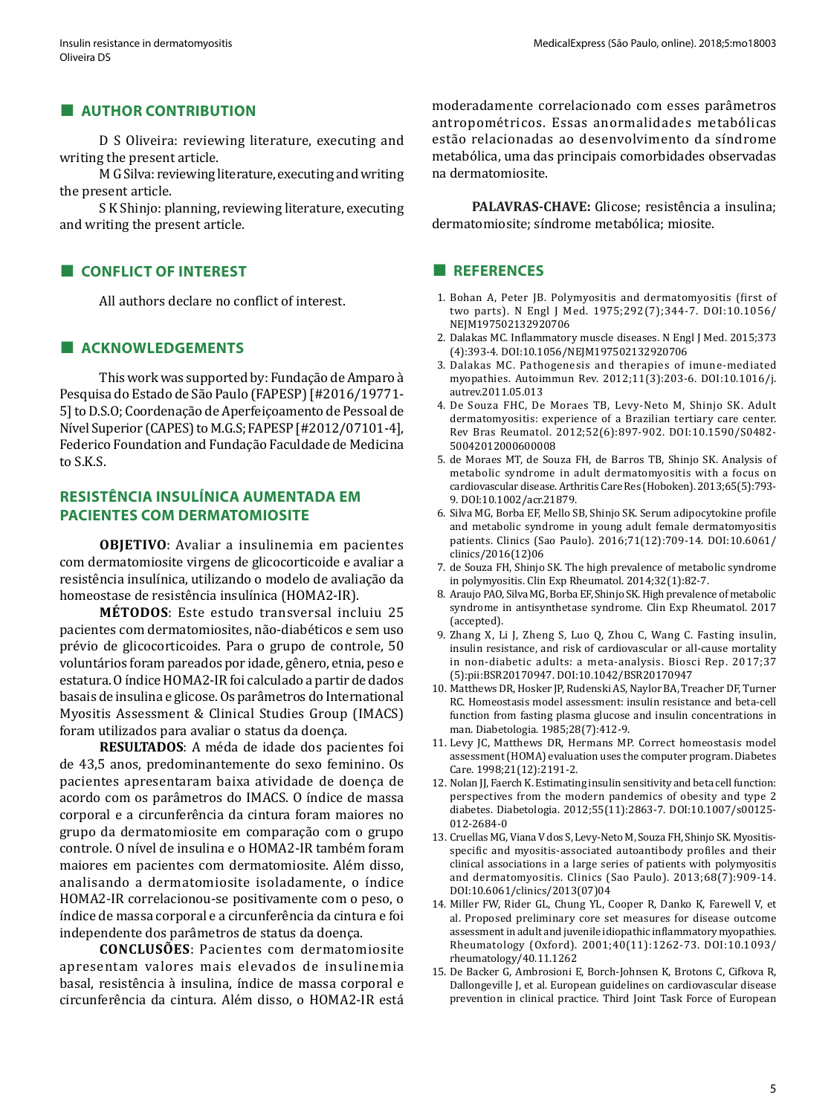#### **■ AUTHOR CONTRIBUTION**

D S Oliveira: reviewing literature, executing and writing the present article.

M G Silva: reviewing literature, executing and writing the present article.

S K Shinjo: planning, reviewing literature, executing and writing the present article.

#### **■ CONFLICT OF INTEREST**

All authors declare no conflict of interest.

# **■ ACKNOWLEDGEMENTS**

This work was supported by: Fundação de Amparo à Pesquisa do Estado de São Paulo (FAPESP) [#2016/19771- 5] to D.S.O; Coordenação de Aperfeiçoamento de Pessoal de Nível Superior (CAPES) to M.G.S; FAPESP [#2012/07101-4], Federico Foundation and Fundação Faculdade de Medicina to S.K.S.

# **RESISTÊNCIA INSULÍNICA AUMENTADA EM PACIENTES COM DERMATOMIOSITE**

**OBJETIVO**: Avaliar a insulinemia em pacientes com dermatomiosite virgens de glicocorticoide e avaliar a resistência insulínica, utilizando o modelo de avaliação da homeostase de resistência insulínica (HOMA2-IR).

**MÉTODOS**: Este estudo transversal incluiu 25 pacientes com dermatomiosites, não-diabéticos e sem uso prévio de glicocorticoides. Para o grupo de controle, 50 voluntários foram pareados por idade, gênero, etnia, peso e estatura. O índice HOMA2-IR foi calculado a partir de dados basais de insulina e glicose. Os parâmetros do International Myositis Assessment & Clinical Studies Group (IMACS) foram utilizados para avaliar o status da doença.

**RESULTADOS**: A méda de idade dos pacientes foi de 43,5 anos, predominantemente do sexo feminino. Os pacientes apresentaram baixa atividade de doença de acordo com os parâmetros do IMACS. O índice de massa corporal e a circunferência da cintura foram maiores no grupo da dermatomiosite em comparação com o grupo controle. O nível de insulina e o HOMA2-IR também foram maiores em pacientes com dermatomiosite. Além disso, analisando a dermatomiosite isoladamente, o índice HOMA2-IR correlacionou-se positivamente com o peso, o índice de massa corporal e a circunferência da cintura e foi independente dos parâmetros de status da doença.

**CONCLUSÕES**: Pacientes com dermatomiosite apresentam valores mais elevados de insulinemia basal, resistência à insulina, índice de massa corporal e circunferência da cintura. Além disso, o HOMA2-IR está moderadamente correlacionado com esses parâmetros antropométricos. Essas anormalidades metabólicas estão relacionadas ao desenvolvimento da síndrome metabólica, uma das principais comorbidades observadas na dermatomiosite.

**PALAVRAS-CHAVE:** Glicose; resistência a insulina; dermatomiosite; síndrome metabólica; miosite.

#### **■ REFERENCES**

- 1. Bohan A, Peter JB. Polymyositis and dermatomyositis (first of two parts). N Engl J Med. 1975;292(7);344-7. DOI:10.1056/ NEJM197502132920706
- 2. Dalakas MC. Inflammatory muscle diseases. N Engl J Med. 2015;373 (4):393-4. DOI:10.1056/NEJM197502132920706
- 3. Dalakas MC. Pathogenesis and therapies of imune-mediated myopathies. Autoimmun Rev. 2012;11(3):203-6. DOI:10.1016/j. autrev.2011.05.013
- 4. De Souza FHC, De Moraes TB, Levy-Neto M, Shinjo SK. Adult dermatomyositis: experience of a Brazilian tertiary care center. Rev Bras Reumatol. 2012;52(6):897-902. DOI:10.1590/S0482- 50042012000600008
- 5. de Moraes MT, de Souza FH, de Barros TB, Shinjo SK. Analysis of metabolic syndrome in adult dermatomyositis with a focus on cardiovascular disease. Arthritis Care Res (Hoboken). 2013;65(5):793- 9. DOI:10.1002/acr.21879.
- 6. Silva MG, Borba EF, Mello SB, Shinjo SK. Serum adipocytokine profile and metabolic syndrome in young adult female dermatomyositis patients. Clinics (Sao Paulo). 2016;71(12):709-14. DOI:10.6061/ clinics/2016(12)06
- 7. de Souza FH, Shinjo SK. The high prevalence of metabolic syndrome in polymyositis. Clin Exp Rheumatol. 2014;32(1):82-7.
- 8. Araujo PAO, Silva MG, Borba EF, Shinjo SK. High prevalence of metabolic syndrome in antisynthetase syndrome. Clin Exp Rheumatol. 2017 (accepted).
- 9. Zhang X, Li J, Zheng S, Luo Q, Zhou C, Wang C. Fasting insulin, insulin resistance, and risk of cardiovascular or all-cause mortality in non-diabetic adults: a meta-analysis. Biosci Rep. 2017;37 (5):pii:BSR20170947. DOI:10.1042/BSR20170947
- 10. Matthews DR, Hosker JP, Rudenski AS, Naylor BA, Treacher DF, Turner RC. Homeostasis model assessment: insulin resistance and beta-cell function from fasting plasma glucose and insulin concentrations in man. Diabetologia. 1985;28(7):412-9.
- 11. Levy JC, Matthews DR, Hermans MP. Correct homeostasis model assessment (HOMA) evaluation uses the computer program. Diabetes Care. 1998;21(12):2191-2.
- 12. Nolan JJ, Faerch K. Estimating insulin sensitivity and beta cell function: perspectives from the modern pandemics of obesity and type 2 diabetes. Diabetologia. 2012;55(11):2863-7. DOI:10.1007/s00125- 012-2684-0
- 13. Cruellas MG, Viana V dos S, Levy-Neto M, Souza FH, Shinjo SK. Myositisspecific and myositis-associated autoantibody profiles and their clinical associations in a large series of patients with polymyositis and dermatomyositis. Clinics (Sao Paulo). 2013;68(7):909-14. DOI:10.6061/clinics/2013(07)04
- 14. Miller FW, Rider GL, Chung YL, Cooper R, Danko K, Farewell V, et al. Proposed preliminary core set measures for disease outcome assessment in adult and juvenile idiopathic inflammatory myopathies. Rheumatology (Oxford). 2001;40(11):1262-73. DOI:10.1093/ rheumatology/40.11.1262
- 15. De Backer G, Ambrosioni E, Borch-Johnsen K, Brotons C, Cifkova R, Dallongeville J, et al. European guidelines on cardiovascular disease prevention in clinical practice. Third Joint Task Force of European